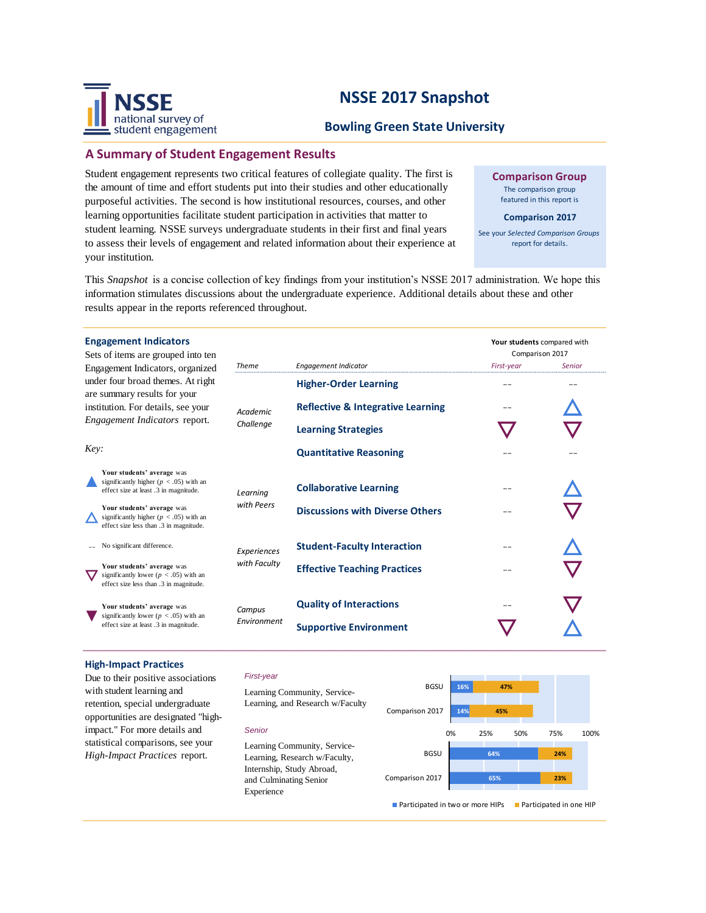# **NSSE 2017 Snapshot**



# **A Summary of Student Engagement Results**

national survey of student engagement

Student engagement represents two critical features of collegiate quality. The first is the amount of time and effort students put into their studies and other educationally purposeful activities. The second is how institutional resources, courses, and other learning opportunities facilitate student participation in activities that matter to student learning. NSSE surveys undergraduate students in their first and final years to assess their levels of engagement and related information about their experience at your institution.

**Comparison Group** The comparison group featured in this report is

#### **Comparison 2017**

See your *Selected Comparison Groups*  report for details.

This *Snapshot* is a concise collection of key findings from your institution's NSSE 2017 administration. We hope this information stimulates discussions about the undergraduate experience. Additional details about these and other results appear in the reports referenced throughout.

| <b>Engagement Indicators</b><br>Sets of items are grouped into ten<br>Engagement Indicators, organized                                   | <b>Theme</b>          | <b>Engagement Indicator</b>                  | Your students compared with<br>Comparison 2017<br>First-year<br>Senior |  |
|------------------------------------------------------------------------------------------------------------------------------------------|-----------------------|----------------------------------------------|------------------------------------------------------------------------|--|
| under four broad themes. At right<br>are summary results for your<br>institution. For details, see your<br>Engagement Indicators report. | Academic<br>Challenge | <b>Higher-Order Learning</b>                 |                                                                        |  |
|                                                                                                                                          |                       | <b>Reflective &amp; Integrative Learning</b> |                                                                        |  |
|                                                                                                                                          |                       | <b>Learning Strategies</b>                   |                                                                        |  |
| Key:                                                                                                                                     |                       | <b>Quantitative Reasoning</b>                |                                                                        |  |
| Your students' average was<br>significantly higher ( $p < .05$ ) with an<br>effect size at least .3 in magnitude.                        | Learnina              | <b>Collaborative Learning</b>                |                                                                        |  |
| Your students' average was<br>significantly higher ( $p < .05$ ) with an<br>effect size less than .3 in magnitude.                       | with Peers            | <b>Discussions with Diverse Others</b>       |                                                                        |  |
| No significant difference.                                                                                                               | Experiences           | <b>Student-Faculty Interaction</b>           |                                                                        |  |
| Your students' average was<br>significantly lower ( $p < .05$ ) with an<br>effect size less than .3 in magnitude.                        | with Faculty          | <b>Effective Teaching Practices</b>          |                                                                        |  |
| Your students' average was                                                                                                               | Campus<br>Environment | <b>Quality of Interactions</b>               |                                                                        |  |
| significantly lower ( $p < .05$ ) with an<br>effect size at least .3 in magnitude.                                                       |                       | <b>Supportive Environment</b>                |                                                                        |  |

### **High-Impact Practices**

Due to their positive associations with student learning and retention, special undergraduate opportunities are designated "highimpact." For more details and statistical comparisons, see your *High-Impact Practices* report.

#### *First-year*

Learning Community, Service-Learning, and Research w/Faculty

#### *Senior*

Learning Community, Service-Learning, Research w/Faculty, Internship, Study Abroad, and Culminating Senior Experience



**Participated in two or more HIPs** Participated in one HIP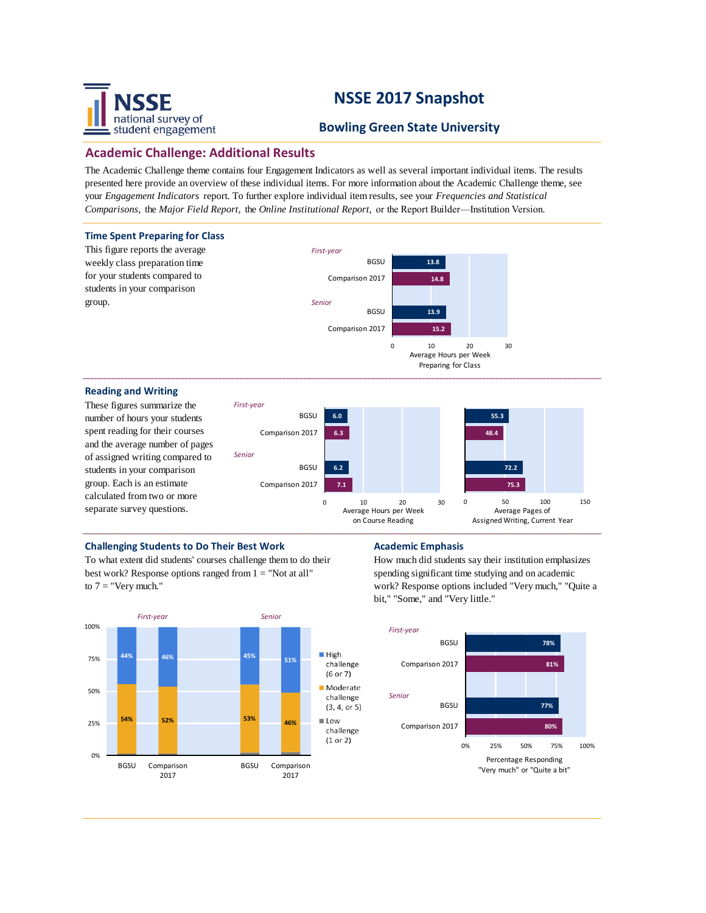# national survey of student engagement

# **NSSE 2017 Snapshot**

# **Bowling Green State University**

# **Academic Challenge: Additional Results**

The Academic Challenge theme contains four Engagement Indicators as well as several important individual items. The results presented here provide an overview of these individual items. For more information about the Academic Challenge theme, see your *Engagement Indicators* report. To further explore individual item results, see your *Frequencies and Statistical Comparisons,* the *Major Field Report,* the *Online Institutional Report,* or the Report Builder—Institution Version.



### **Challenging Students to Do Their Best Work <b>Academic Emphasis**

To what extent did students' courses challenge them to do their best work? Response options ranged from 1 = "Not at all" to  $7 =$  "Very much."



How much did students say their institution emphasizes spending significant time studying and on academic work? Response options included "Very much," "Quite a bit," "Some," and "Very little."

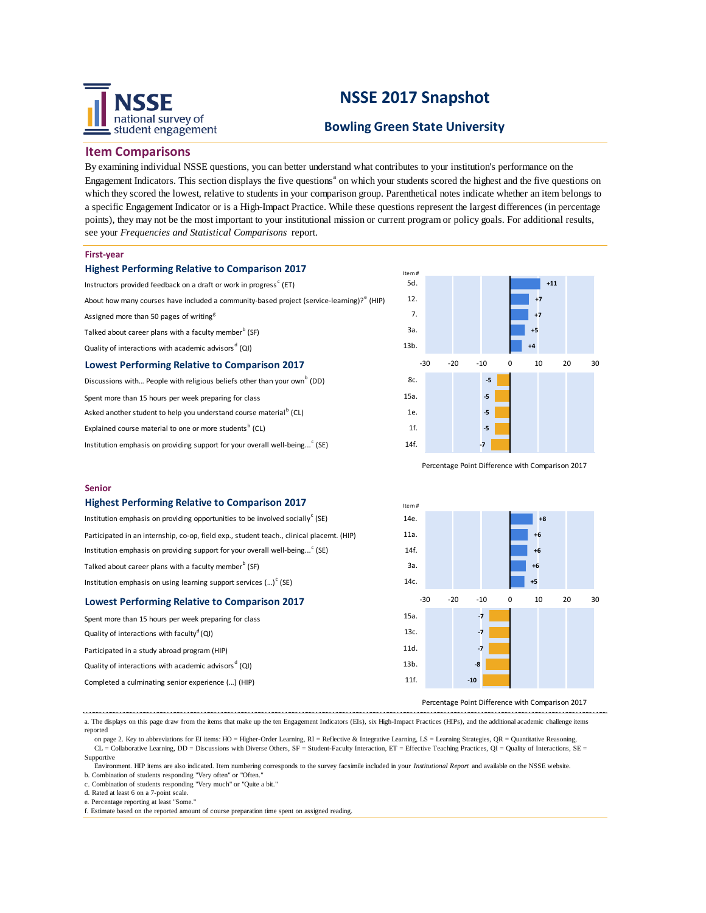

# **NSSE 2017 Snapshot**

## **Bowling Green State University**

Item #

14e. 11a.  $14f$ 3a.

### **Item Comparisons**

By examining individual NSSE questions, you can better understand what contributes to your institution's performance on the Engagement Indicators. This section displays the five questions<sup>a</sup> on which your students scored the highest and the five questions on which they scored the lowest, relative to students in your comparison group. Parenthetical notes indicate whether an item belongs to a specific Engagement Indicator or is a High-Impact Practice. While these questions represent the largest differences (in percentage points), they may not be the most important to your institutional mission or current program or policy goals. For additional results, see your *Frequencies and Statistical Comparisons* report.

#### **First-year**

| <b>Highest Performing Relative to Comparison 2017</b>                                                 |  |  |  |  |
|-------------------------------------------------------------------------------------------------------|--|--|--|--|
| Instructors provided feedback on a draft or work in progress <sup>c</sup> (ET)                        |  |  |  |  |
| About how many courses have included a community-based project (service-learning)? <sup>e</sup> (HIP) |  |  |  |  |
| Assigned more than 50 pages of writing <sup>g</sup>                                                   |  |  |  |  |
| Talked about career plans with a faculty member <sup>b</sup> (SF)                                     |  |  |  |  |
| Quality of interactions with academic advisors <sup>d</sup> (QI)                                      |  |  |  |  |

### **Lowest Performing Relative to Comparison 2017**

Discussions with... People with religious beliefs other than your own<sup>b</sup> (DD)

Spent more than 15 hours per week preparing for class

Asked another student to help you understand course material<sup>b</sup> (CL)

Explained course material to one or more students<sup>b</sup> (CL)

Institution emphasis on providing support for your overall well-being...<sup>c</sup> (SE)



Percentage Point Difference with Comparison 2017

**+8 +6 +6 +6**

#### **Senior**

#### **Highest Performing Relative to Comparison 2017**

Institution emphasis on providing opportunities to be involved socially<sup>c</sup> (SE) Participated in an internship, co-op, field exp., student teach., clinical placemt. (HIP) Institution emphasis on providing support for your overall well-being... $\degree$  (SE) Talked about career plans with a faculty member<sup>b</sup> (SF) Institution emphasis on using learning support services  $(...)^c$  (SE)

| <b>Lowest Performing Relative to Comparison 2017</b>             | -30  | -20 | -10            | O |  |
|------------------------------------------------------------------|------|-----|----------------|---|--|
| Spent more than 15 hours per week preparing for class            | 15a. |     | $-7$           |   |  |
| Quality of interactions with faculty <sup>d</sup> (QI)           | 13c. |     | $-7$           |   |  |
| Participated in a study abroad program (HIP)                     | 11d. |     | $\overline{7}$ |   |  |
| Quality of interactions with academic advisors <sup>d</sup> (QI) | 13b. |     | $-8$           |   |  |
| Completed a culminating senior experience () (HIP)               | 11f. |     | $-10$          |   |  |
|                                                                  |      |     |                |   |  |

Percentage Point Difference with Comparison 2017

a. The displays on this page draw from the items that make up the ten Engagement Indicators (EIs), six High-Impact Practices (HIPs), and the additional academic challenge items reported

on page 2. Key to abbreviations for EI items: HO = Higher-Order Learning, RI = Reflective & Integrative Learning, LS = Learning Strategies, QR = Quantitative Reasoning,  $CL =$  Collaborative Learning, DD = Discussions with Diverse Others,  $SF =$  Student-Faculty Interaction,  $ET =$  Effective Teaching Practices,  $QI =$  Quality of Interactions,  $SE =$ Supportive

 Environment. HIP items are also indicated. Item numbering corresponds to the survey facsimile included in your *Institutional Report* and available on the NSSE website. b. Combination of students responding "Very often" or "Often.

c. Combination of students responding "Very much" or "Quite a bit."

g. Estimate based on number of assigned writing tasks of assigned writing tasks of various lengths. The contract

d. Rated at least 6 on a 7-point scale.

e. Percentage reporting at least "Some."

f. Estimate based on the reported amount of course preparation time spent on assigned reading.